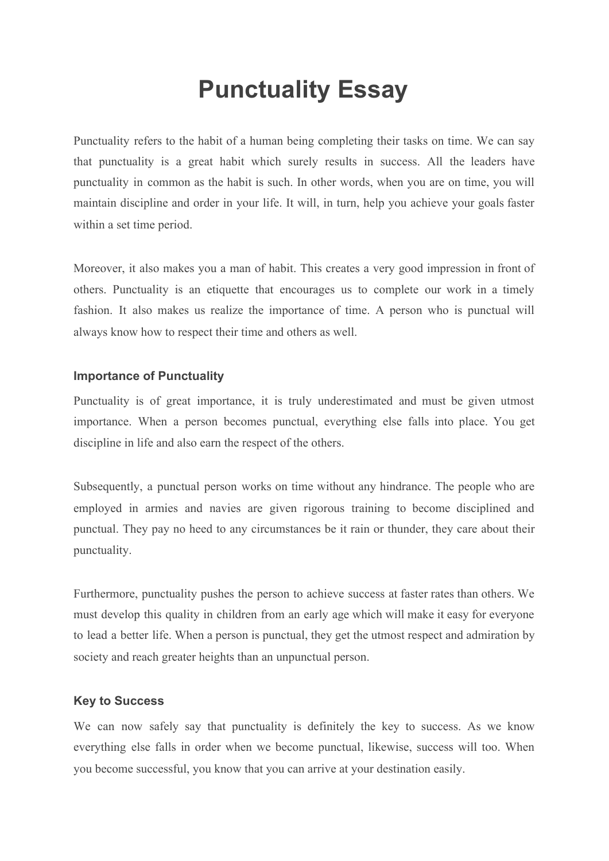## **Punctuality Essay**

Punctuality refers to the habit of a human being completing their tasks on time. We can say that punctuality is a great habit which surely results in success. All the leaders have punctuality in common as the habit is such. In other words, when you are on time, you will maintain discipline and order in your life. It will, in turn, help you achieve your goals faster within a set time period.

Moreover, it also makes you a man of habit. This creates a very good impression in front of others. Punctuality is an etiquette that encourages us to complete our work in a timely fashion. It also makes us realize the importance of time. A person who is punctual will always know how to respect their time and others as well.

## **Importance of Punctuality**

Punctuality is of great importance, it is truly underestimated and must be given utmost importance. When a person becomes punctual, everything else falls into place. You get discipline in life and also earn the respect of the others.

Subsequently, a punctual person works on time without any hindrance. The people who are employed in armies and navies are given rigorous training to become disciplined and punctual. They pay no heed to any circumstances be it rain or thunder, they care about their punctuality.

Furthermore, punctuality pushes the person to achieve success at faster rates than others. We must develop this quality in children from an early age which will make it easy for everyone to lead a better life. When a person is punctual, they get the utmost respect and admiration by society and reach greater heights than an unpunctual person.

## **Key to Success**

We can now safely say that punctuality is definitely the key to success. As we know everything else falls in order when we become punctual, likewise, success will too. When you become successful, you know that you can arrive at your destination easily.